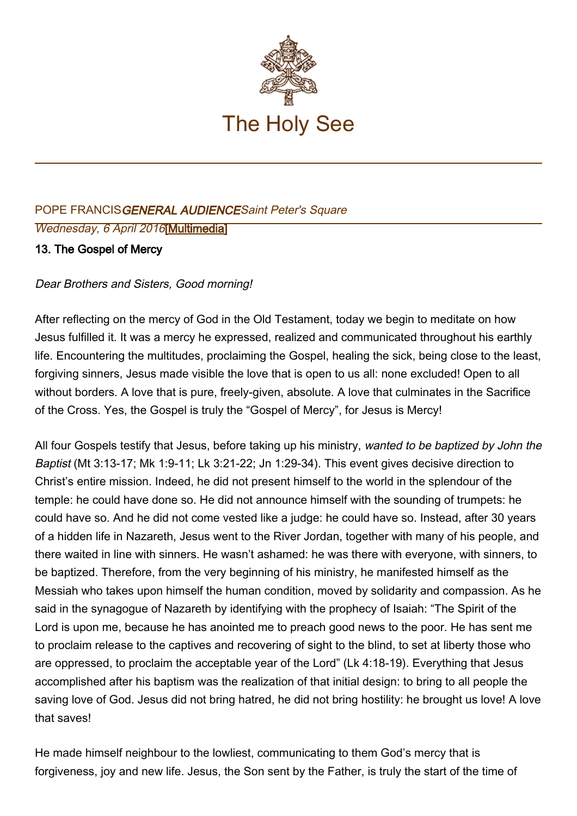

## POPE FRANCISGENERAL AUDIENCESaint Peter's Square Wednesday, 6 April 2016[\[Multimedia](http://w2.vatican.va/content/francesco/en/events/event.dir.html/content/vaticanevents/en/2016/4/6/udienzagenerale.html)]

## 13. The Gospel of Mercy

Dear Brothers and Sisters, Good morning!

After reflecting on the mercy of God in the Old Testament, today we begin to meditate on how Jesus fulfilled it. It was a mercy he expressed, realized and communicated throughout his earthly life. Encountering the multitudes, proclaiming the Gospel, healing the sick, being close to the least, forgiving sinners, Jesus made visible the love that is open to us all: none excluded! Open to all without borders. A love that is pure, freely-given, absolute. A love that culminates in the Sacrifice of the Cross. Yes, the Gospel is truly the "Gospel of Mercy", for Jesus is Mercy!

All four Gospels testify that Jesus, before taking up his ministry, wanted to be baptized by John the Baptist (Mt 3:13-17; Mk 1:9-11; Lk 3:21-22; Jn 1:29-34). This event gives decisive direction to Christ's entire mission. Indeed, he did not present himself to the world in the splendour of the temple: he could have done so. He did not announce himself with the sounding of trumpets: he could have so. And he did not come vested like a judge: he could have so. Instead, after 30 years of a hidden life in Nazareth, Jesus went to the River Jordan, together with many of his people, and there waited in line with sinners. He wasn't ashamed: he was there with everyone, with sinners, to be baptized. Therefore, from the very beginning of his ministry, he manifested himself as the Messiah who takes upon himself the human condition, moved by solidarity and compassion. As he said in the synagogue of Nazareth by identifying with the prophecy of Isaiah: "The Spirit of the Lord is upon me, because he has anointed me to preach good news to the poor. He has sent me to proclaim release to the captives and recovering of sight to the blind, to set at liberty those who are oppressed, to proclaim the acceptable year of the Lord" (Lk 4:18-19). Everything that Jesus accomplished after his baptism was the realization of that initial design: to bring to all people the saving love of God. Jesus did not bring hatred, he did not bring hostility: he brought us love! A love that saves!

He made himself neighbour to the lowliest, communicating to them God's mercy that is forgiveness, joy and new life. Jesus, the Son sent by the Father, is truly the start of the time of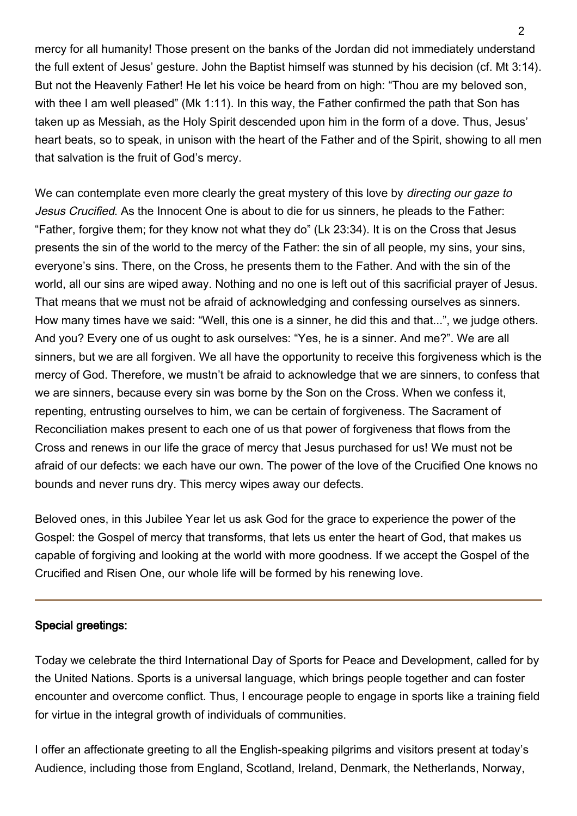mercy for all humanity! Those present on the banks of the Jordan did not immediately understand the full extent of Jesus' gesture. John the Baptist himself was stunned by his decision (cf. Mt 3:14). But not the Heavenly Father! He let his voice be heard from on high: "Thou are my beloved son, with thee I am well pleased" (Mk 1:11). In this way, the Father confirmed the path that Son has taken up as Messiah, as the Holy Spirit descended upon him in the form of a dove. Thus, Jesus' heart beats, so to speak, in unison with the heart of the Father and of the Spirit, showing to all men that salvation is the fruit of God's mercy.

We can contemplate even more clearly the great mystery of this love by *directing our gaze to* Jesus Crucified. As the Innocent One is about to die for us sinners, he pleads to the Father: "Father, forgive them; for they know not what they do" (Lk 23:34). It is on the Cross that Jesus presents the sin of the world to the mercy of the Father: the sin of all people, my sins, your sins, everyone's sins. There, on the Cross, he presents them to the Father. And with the sin of the world, all our sins are wiped away. Nothing and no one is left out of this sacrificial prayer of Jesus. That means that we must not be afraid of acknowledging and confessing ourselves as sinners. How many times have we said: "Well, this one is a sinner, he did this and that...", we judge others. And you? Every one of us ought to ask ourselves: "Yes, he is a sinner. And me?". We are all sinners, but we are all forgiven. We all have the opportunity to receive this forgiveness which is the mercy of God. Therefore, we mustn't be afraid to acknowledge that we are sinners, to confess that we are sinners, because every sin was borne by the Son on the Cross. When we confess it, repenting, entrusting ourselves to him, we can be certain of forgiveness. The Sacrament of Reconciliation makes present to each one of us that power of forgiveness that flows from the Cross and renews in our life the grace of mercy that Jesus purchased for us! We must not be afraid of our defects: we each have our own. The power of the love of the Crucified One knows no bounds and never runs dry. This mercy wipes away our defects.

Beloved ones, in this Jubilee Year let us ask God for the grace to experience the power of the Gospel: the Gospel of mercy that transforms, that lets us enter the heart of God, that makes us capable of forgiving and looking at the world with more goodness. If we accept the Gospel of the Crucified and Risen One, our whole life will be formed by his renewing love.

## Special greetings:

Today we celebrate the third International Day of Sports for Peace and Development, called for by the United Nations. Sports is a universal language, which brings people together and can foster encounter and overcome conflict. Thus, I encourage people to engage in sports like a training field for virtue in the integral growth of individuals of communities.

I offer an affectionate greeting to all the English-speaking pilgrims and visitors present at today's Audience, including those from England, Scotland, Ireland, Denmark, the Netherlands, Norway,

 $\mathcal{P}$